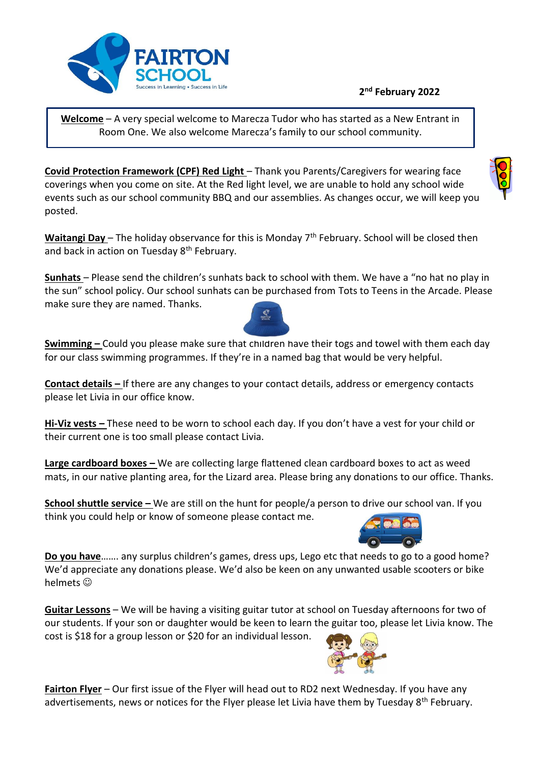## **2 nd February 2022**



**Welcome** – A very special welcome to Marecza Tudor who has started as a New Entrant in Room One. We also welcome Marecza's family to our school community.

**Covid Protection Framework (CPF) Red Light** – Thank you Parents/Caregivers for wearing face coverings when you come on site. At the Red light level, we are unable to hold any school wide events such as our school community BBQ and our assemblies. As changes occur, we will keep you posted.

Waitangi Day – The holiday observance for this is Monday 7<sup>th</sup> February. School will be closed then and back in action on Tuesday 8<sup>th</sup> February.

**Sunhats** – Please send the children's sunhats back to school with them. We have a "no hat no play in the sun" school policy. Our school sunhats can be purchased from Tots to Teens in the Arcade. Please make sure they are named. Thanks.

**Swimming –** Could you please make sure that children have their togs and towel with them each day for our class swimming programmes. If they're in a named bag that would be very helpful.

**Contact details –** If there are any changes to your contact details, address or emergency contacts please let Livia in our office know.

**Hi-Viz vests –** These need to be worn to school each day. If you don't have a vest for your child or their current one is too small please contact Livia.

**Large cardboard boxes –** We are collecting large flattened clean cardboard boxes to act as weed mats, in our native planting area, for the Lizard area. Please bring any donations to our office. Thanks.

**School shuttle service –** We are still on the hunt for people/a person to drive our school van. If you think you could help or know of someone please contact me.

**Do you have**……. any surplus children's games, dress ups, Lego etc that needs to go to a good home? We'd appreciate any donations please. We'd also be keen on any unwanted usable scooters or bike helmets  $\odot$ 

**Guitar Lessons** – We will be having a visiting guitar tutor at school on Tuesday afternoons for two of our students. If your son or daughter would be keen to learn the guitar too, please let Livia know. The cost is \$18 for a group lesson or \$20 for an individual lesson.

**Fairton Flyer** – Our first issue of the Flyer will head out to RD2 next Wednesday. If you have any advertisements, news or notices for the Flyer please let Livia have them by Tuesday 8<sup>th</sup> February.